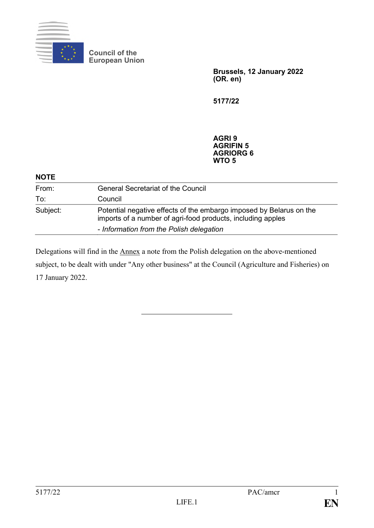

**Council of the European Union**

> **Brussels, 12 January 2022 (OR. en)**

**5177/22**

**AGRI 9 AGRIFIN 5 AGRIORG 6 WTO 5**

| <b>NOTE</b> |                                                                                                                                                                                |
|-------------|--------------------------------------------------------------------------------------------------------------------------------------------------------------------------------|
| From:       | <b>General Secretariat of the Council</b>                                                                                                                                      |
| To:         | Council                                                                                                                                                                        |
| Subject:    | Potential negative effects of the embargo imposed by Belarus on the<br>imports of a number of agri-food products, including apples<br>- Information from the Polish delegation |

Delegations will find in the Annex a note from the Polish delegation on the above-mentioned subject, to be dealt with under "Any other business" at the Council (Agriculture and Fisheries) on 17 January 2022.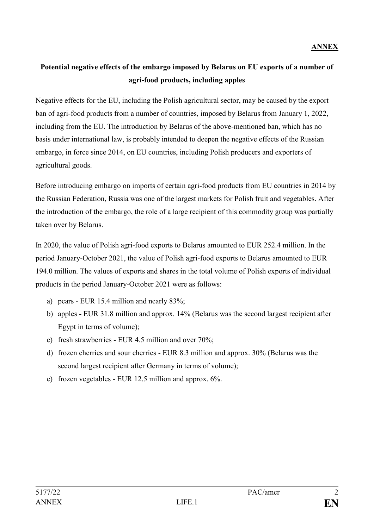## **Potential negative effects of the embargo imposed by Belarus on EU exports of a number of agri-food products, including apples**

Negative effects for the EU, including the Polish agricultural sector, may be caused by the export ban of agri-food products from a number of countries, imposed by Belarus from January 1, 2022, including from the EU. The introduction by Belarus of the above-mentioned ban, which has no basis under international law, is probably intended to deepen the negative effects of the Russian embargo, in force since 2014, on EU countries, including Polish producers and exporters of agricultural goods.

Before introducing embargo on imports of certain agri-food products from EU countries in 2014 by the Russian Federation, Russia was one of the largest markets for Polish fruit and vegetables. After the introduction of the embargo, the role of a large recipient of this commodity group was partially taken over by Belarus.

In 2020, the value of Polish agri-food exports to Belarus amounted to EUR 252.4 million. In the period January-October 2021, the value of Polish agri-food exports to Belarus amounted to EUR 194.0 million. The values of exports and shares in the total volume of Polish exports of individual products in the period January-October 2021 were as follows:

- a) pears EUR 15.4 million and nearly 83%;
- b) apples EUR 31.8 million and approx. 14% (Belarus was the second largest recipient after Egypt in terms of volume);
- c) fresh strawberries EUR 4.5 million and over 70%;
- d) frozen cherries and sour cherries EUR 8.3 million and approx. 30% (Belarus was the second largest recipient after Germany in terms of volume);
- e) frozen vegetables EUR 12.5 million and approx. 6%.